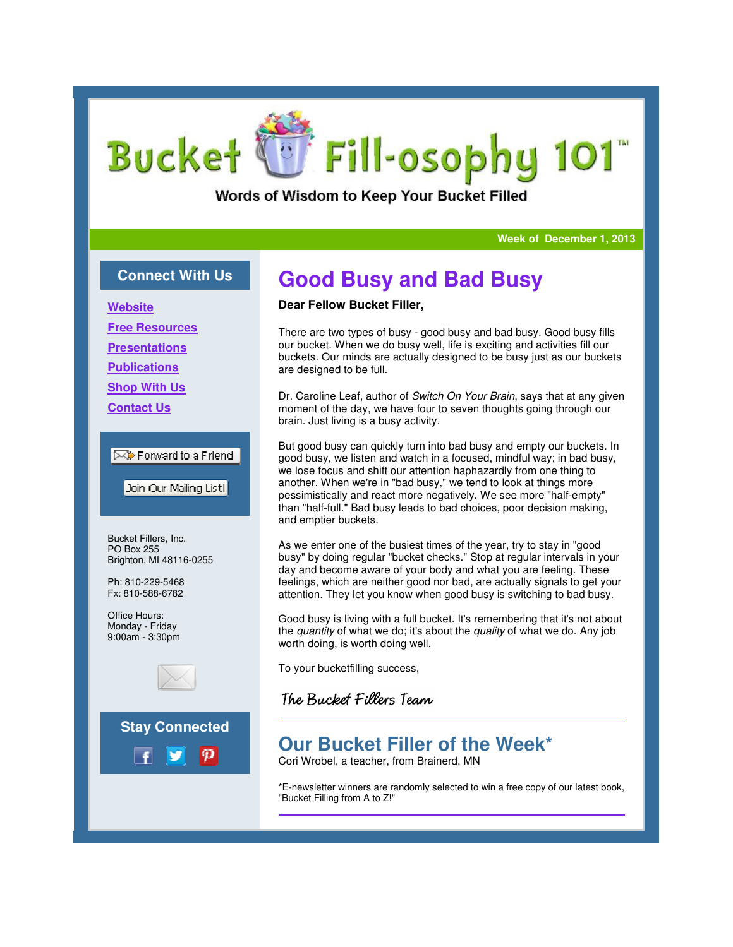# Fill-osophy 101 **Bucket**

Words of Wisdom to Keep Your Bucket Filled

#### **Week of December 1, 2013**

### **Connect With Us**

**Website**

**Free Resources**

**Presentations**

**Publications**

**Shop With Us**

**Contact Us**

### $\boxtimes$  Forward to a Friend

Join Our Mailing List!

Bucket Fillers, Inc. PO Box 255 Brighton, MI 48116-0255

Ph: 810-229-5468 Fx: 810-588-6782

Office Hours: Monday - Friday 9:00am - 3:30pm





## **Good Busy and Bad Busy**

### **Dear Fellow Bucket Filler,**

There are two types of busy - good busy and bad busy. Good busy fills our bucket. When we do busy well, life is exciting and activities fill our buckets. Our minds are actually designed to be busy just as our buckets are designed to be full.

Dr. Caroline Leaf, author of Switch On Your Brain, says that at any given moment of the day, we have four to seven thoughts going through our brain. Just living is a busy activity.

But good busy can quickly turn into bad busy and empty our buckets. In good busy, we listen and watch in a focused, mindful way; in bad busy, we lose focus and shift our attention haphazardly from one thing to another. When we're in "bad busy," we tend to look at things more another. When we're in "bad busy," we tend to look at things more<br>pessimistically and react more negatively. We see more "half-empty" than "half-full." Bad busy leads to bad choices, poor decision making, and emptier buckets. than "half-full." Bad busy leads to bad choices, poor decision making<br>and emptier buckets.<br>As we enter one of the busiest times of the year, try to stay in "good ts going through our<br>empty our buckets. In<br>Iful way; in bad busy,

busy" by doing regular "bucket checks." Stop at regular intervals in your busy" by doing regular "bucket checks." Stop at regular intervals in you<br>day and become aware of your body and what you are feeling. These feelings, which are neither good nor bad, are actually signals signals to get your attention. They let you know when good busy is switching to bad busy. busy.

Good busy is living with a full bucket. It's remembering that it's not about the *quantity* of what we do; it's about the *quality* of what we do. Any job worth doing, is worth doing well.

To your bucketfilling success,

### The Bucket Fillers Team

## **Our Bucket Filler of the Week\* of the**

Cori Wrobel, a teacher, from Brainerd, MN

\*E-newsletter winners are randomly selected to win a free copy of our latest book, newsletter winners "Bucket Filling from A to Z!"